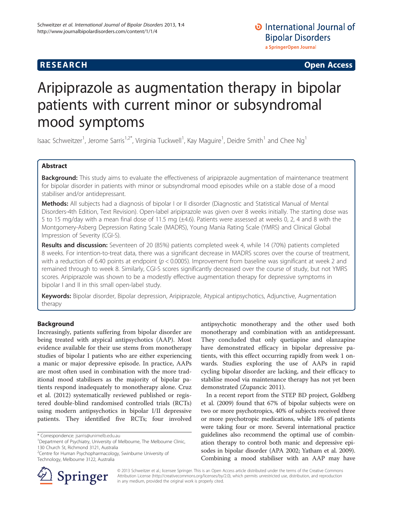# **RESEARCH CHINESE ARCH CHINESE ARCH CHINESE ARCH <b>CHINESE ARCH**

# Aripiprazole as augmentation therapy in bipolar patients with current minor or subsyndromal mood symptoms

Isaac Schweitzer<sup>1</sup>, Jerome Sarris<sup>1,2\*</sup>, Virginia Tuckwell<sup>1</sup>, Kay Maguire<sup>1</sup>, Deidre Smith<sup>1</sup> and Chee Ng<sup>1</sup>

# Abstract

Background: This study aims to evaluate the effectiveness of aripiprazole augmentation of maintenance treatment for bipolar disorder in patients with minor or subsyndromal mood episodes while on a stable dose of a mood stabiliser and/or antidepressant.

Methods: All subjects had a diagnosis of bipolar I or II disorder (Diagnostic and Statistical Manual of Mental Disorders-4th Edition, Text Revision). Open-label aripiprazole was given over 8 weeks initially. The starting dose was 5 to 15 mg/day with a mean final dose of 11.5 mg (±4.6). Patients were assessed at weeks 0, 2, 4 and 8 with the Montgomery-Asberg Depression Rating Scale (MADRS), Young Mania Rating Scale (YMRS) and Clinical Global Impression of Severity (CGI-S).

Results and discussion: Seventeen of 20 (85%) patients completed week 4, while 14 (70%) patients completed 8 weeks. For intention-to-treat data, there was a significant decrease in MADRS scores over the course of treatment, with a reduction of 6.40 points at endpoint ( $p < 0.0005$ ). Improvement from baseline was significant at week 2 and remained through to week 8. Similarly, CGI-S scores significantly decreased over the course of study, but not YMRS scores. Aripiprazole was shown to be a modestly effective augmentation therapy for depressive symptoms in bipolar I and II in this small open-label study.

Keywords: Bipolar disorder, Bipolar depression, Aripiprazole, Atypical antipsychotics, Adjunctive, Augmentation therapy

# Background

Increasingly, patients suffering from bipolar disorder are being treated with atypical antipsychotics (AAP). Most evidence available for their use stems from monotherapy studies of bipolar I patients who are either experiencing a manic or major depressive episode. In practice, AAPs are most often used in combination with the more traditional mood stabilisers as the majority of bipolar patients respond inadequately to monotherapy alone. Cruz et al. ([2012](#page-4-0)) systematically reviewed published or registered double-blind randomised controlled trials (RCTs) using modern antipsychotics in bipolar I/II depressive patients. They identified five RCTs; four involved

\* Correspondence: [jsarris@unimelb.edu.au](mailto:jsarris@unimelb.edu.au) <sup>1</sup>

<sup>1</sup>Department of Psychiatry, University of Melbourne, The Melbourne Clinic, 130 Church St, Richmond 3121, Australia

<sup>&</sup>lt;sup>2</sup>Centre for Human Psychopharmacology, Swinburne University of Technology, Melbourne 3122, Australia



antipsychotic monotherapy and the other used both monotherapy and combination with an antidepressant. They concluded that only quetiapine and olanzapine have demonstrated efficacy in bipolar depressive patients, with this effect occurring rapidly from week 1 onwards. Studies exploring the use of AAPs in rapid cycling bipolar disorder are lacking, and their efficacy to stabilise mood via maintenance therapy has not yet been demonstrated (Zupancic [2011](#page-4-0)).

In a recent report from the STEP BD project, Goldberg et al. ([2009](#page-4-0)) found that 67% of bipolar subjects were on two or more psychotropics, 40% of subjects received three or more psychotropic medications, while 18% of patients were taking four or more. Several international practice guidelines also recommend the optimal use of combination therapy to control both manic and depressive episodes in bipolar disorder (APA [2002](#page-4-0); Yatham et al. [2009](#page-4-0)). Combining a mood stabiliser with an AAP may have

© 2013 Schweitzer et al.; licensee Springer. This is an Open Access article distributed under the terms of the Creative Commons Attribution License [\(http://creativecommons.org/licenses/by/2.0\)](http://creativecommons.org/licenses/by/2.0), which permits unrestricted use, distribution, and reproduction in any medium, provided the original work is properly cited.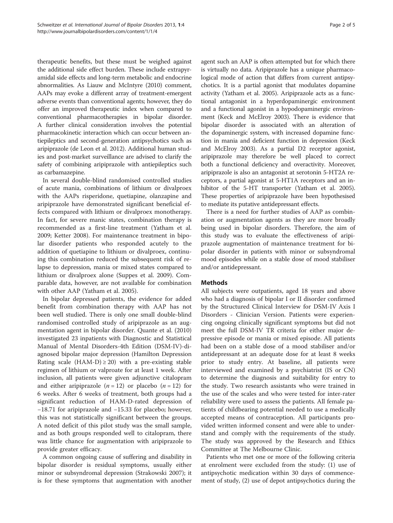therapeutic benefits, but these must be weighed against the additional side effect burden. These include extrapyramidal side effects and long-term metabolic and endocrine abnormalities. As Liauw and McIntyre ([2010\)](#page-4-0) comment, AAPs may evoke a different array of treatment-emergent adverse events than conventional agents; however, they do offer an improved therapeutic index when compared to conventional pharmacotherapies in bipolar disorder. A further clinical consideration involves the potential pharmacokinetic interaction which can occur between antiepileptics and second-generation antipsychotics such as aripiprazole (de Leon et al. [2012\)](#page-4-0). Additional human studies and post-market surveillance are advised to clarify the safety of combining aripiprazole with antiepileptics such as carbamazepine.

In several double-blind randomised controlled studies of acute mania, combinations of lithium or divalproex with the AAPs risperidone, quetiapine, olanzapine and aripiprazole have demonstrated significant beneficial effects compared with lithium or divalproex monotherapy. In fact, for severe manic states, combination therapy is recommended as a first-line treatment (Yatham et al. [2009](#page-4-0); Ketter [2008\)](#page-4-0). For maintenance treatment in bipolar disorder patients who responded acutely to the addition of quetiapine to lithium or divalproex, continuing this combination reduced the subsequent risk of relapse to depression, mania or mixed states compared to lithium or divalproex alone (Suppes et al. [2009](#page-4-0)). Comparable data, however, are not available for combination with other AAP (Yatham et al. [2005\)](#page-4-0).

In bipolar depressed patients, the evidence for added benefit from combination therapy with AAP has not been well studied. There is only one small double-blind randomised controlled study of aripiprazole as an augmentation agent in bipolar disorder. Quante et al. ([2010](#page-4-0)) investigated 23 inpatients with Diagnostic and Statistical Manual of Mental Disorders-4th Edition (DSM-IV)-diagnosed bipolar major depression (Hamilton Depression Rating scale  $(HAM-D) \ge 20$ ) with a pre-existing stable regimen of lithium or valproate for at least 1 week. After inclusion, all patients were given adjunctive citalopram and either aripiprazole  $(n = 12)$  or placebo  $(n = 12)$  for 6 weeks. After 6 weeks of treatment, both groups had a significant reduction of HAM-D-rated depression of −18.71 for aripiprazole and −15.33 for placebo; however, this was not statistically significant between the groups. A noted deficit of this pilot study was the small sample, and as both groups responded well to citalopram, there was little chance for augmentation with aripiprazole to provide greater efficacy.

A common ongoing cause of suffering and disability in bipolar disorder is residual symptoms, usually either minor or subsyndromal depression (Strakowski [2007\)](#page-4-0); it is for these symptoms that augmentation with another

agent such an AAP is often attempted but for which there is virtually no data. Aripiprazole has a unique pharmacological mode of action that differs from current antipsychotics. It is a partial agonist that modulates dopamine activity (Yatham et al. [2005\)](#page-4-0). Aripiprazole acts as a functional antagonist in a hyperdopaminergic environment and a functional agonist in a hypodopaminergic environment (Keck and McElroy [2003\)](#page-4-0). There is evidence that bipolar disorder is associated with an alteration of the dopaminergic system, with increased dopamine function in mania and deficient function in depression (Keck and McElroy [2003\)](#page-4-0). As a partial D2 receptor agonist, aripiprazole may therefore be well placed to correct both a functional deficiency and overactivity. Moreover, aripiprazole is also an antagonist at serotonin 5-HT2A receptors, a partial agonist at 5-HT1A receptors and an inhibitor of the 5-HT transporter (Yatham et al. [2005](#page-4-0)). These properties of aripiprazole have been hypothesised to mediate its putative antidepressant effects.

There is a need for further studies of AAP as combination or augmentation agents as they are more broadly being used in bipolar disorders. Therefore, the aim of this study was to evaluate the effectiveness of aripiprazole augmentation of maintenance treatment for bipolar disorder in patients with minor or subsyndromal mood episodes while on a stable dose of mood stabiliser and/or antidepressant.

# **Methods**

All subjects were outpatients, aged 18 years and above who had a diagnosis of bipolar I or II disorder confirmed by the Structured Clinical Interview for DSM-IV Axis I Disorders - Clinician Version. Patients were experiencing ongoing clinically significant symptoms but did not meet the full DSM-IV TR criteria for either major depressive episode or mania or mixed episode. All patients had been on a stable dose of a mood stabiliser and/or antidepressant at an adequate dose for at least 8 weeks prior to study entry. At baseline, all patients were interviewed and examined by a psychiatrist (IS or CN) to determine the diagnosis and suitability for entry to the study. Two research assistants who were trained in the use of the scales and who were tested for inter-rater reliability were used to assess the patients. All female patients of childbearing potential needed to use a medically accepted means of contraception. All participants provided written informed consent and were able to understand and comply with the requirements of the study. The study was approved by the Research and Ethics Committee at The Melbourne Clinic.

Patients who met one or more of the following criteria at enrolment were excluded from the study: (1) use of antipsychotic medication within 30 days of commencement of study, (2) use of depot antipsychotics during the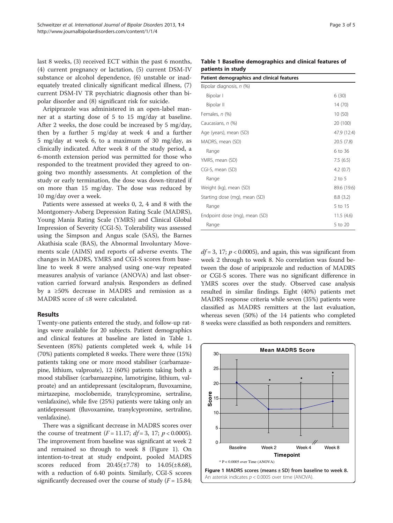last 8 weeks, (3) received ECT within the past 6 months, (4) current pregnancy or lactation, (5) current DSM-IV substance or alcohol dependence, (6) unstable or inadequately treated clinically significant medical illness, (7) current DSM-IV TR psychiatric diagnosis other than bipolar disorder and (8) significant risk for suicide.

Aripiprazole was administered in an open-label manner at a starting dose of 5 to 15 mg/day at baseline. After 2 weeks, the dose could be increased by 5 mg/day, then by a further 5 mg/day at week 4 and a further 5 mg/day at week 6, to a maximum of 30 mg/day, as clinically indicated. After week 8 of the study period, a 6-month extension period was permitted for those who responded to the treatment provided they agreed to ongoing two monthly assessments. At completion of the study or early termination, the dose was down-titrated if on more than 15 mg/day. The dose was reduced by 10 mg/day over a week.

Patients were assessed at weeks 0, 2, 4 and 8 with the Montgomery-Asberg Depression Rating Scale (MADRS), Young Mania Rating Scale (YMRS) and Clinical Global Impression of Severity (CGI-S). Tolerability was assessed using the Simpson and Angus scale (SAS), the Barnes Akathisia scale (BAS), the Abnormal Involuntary Movements scale (AIMS) and reports of adverse events. The changes in MADRS, YMRS and CGI-S scores from baseline to week 8 were analysed using one-way repeated measures analysis of variance (ANOVA) and last observation carried forward analysis. Responders as defined by a ≥50% decrease in MADRS and remission as a MADRS score of ≤8 were calculated.

### Results

Twenty-one patients entered the study, and follow-up ratings were available for 20 subjects. Patient demographics and clinical features at baseline are listed in Table 1. Seventeen (85%) patients completed week 4, while 14 (70%) patients completed 8 weeks. There were three (15%) patients taking one or more mood stabiliser (carbamazepine, lithium, valproate), 12 (60%) patients taking both a mood stabiliser (carbamazepine, lamotrigine, lithium, valproate) and an antidepressant (escitalopram, fluvoxamine, mirtazepine, moclobemide, tranylcypromine, sertraline, venlafaxine), while five (25%) patients were taking only an antidepressant (fluvoxamine, tranylcypromine, sertraline, venlafaxine).

There was a significant decrease in MADRS scores over the course of treatment  $(F = 11.17; df = 3, 17; p < 0.0005)$ . The improvement from baseline was significant at week 2 and remained so through to week 8 (Figure 1). On intention-to-treat at study endpoint, pooled MADRS scores reduced from  $20.45(\pm 7.78)$  to  $14.05(\pm 8.68)$ , with a reduction of 6.40 points. Similarly, CGI-S scores significantly decreased over the course of study  $(F = 15.84;$ 

Table 1 Baseline demographics and clinical features of patients in study

| Patient demographics and clinical features |             |
|--------------------------------------------|-------------|
| Bipolar diagnosis, n (%)                   |             |
| Bipolar I                                  | 6(30)       |
| Bipolar II                                 | 14 (70)     |
| Females, n (%)                             | 10 (50)     |
| Caucasians, n (%)                          | 20 (100)    |
| Age (years), mean (SD)                     | 47.9 (12.4) |
| MADRS, mean (SD)                           | 20.5(7.8)   |
| Range                                      | 6 to 36     |
| YMRS, mean (SD)                            | 7.5(6.5)    |
| CGI-S, mean (SD)                           | 4.2(0.7)    |
| Range                                      | $2$ to 5    |
| Weight (kg), mean (SD)                     | 89.6 (19.6) |
| Starting dose (mg), mean (SD)              | 8.8(3.2)    |
| Range                                      | 5 to 15     |
| Endpoint dose (mg), mean (SD)              | 11.5(4.6)   |
| Range                                      | 5 to 20     |

 $df = 3$ , 17;  $p < 0.0005$ ), and again, this was significant from week 2 through to week 8. No correlation was found between the dose of aripiprazole and reduction of MADRS or CGI-S scores. There was no significant difference in YMRS scores over the study. Observed case analysis resulted in similar findings. Eight (40%) patients met MADRS response criteria while seven (35%) patients were classified as MADRS remitters at the last evaluation, whereas seven (50%) of the 14 patients who completed 8 weeks were classified as both responders and remitters.

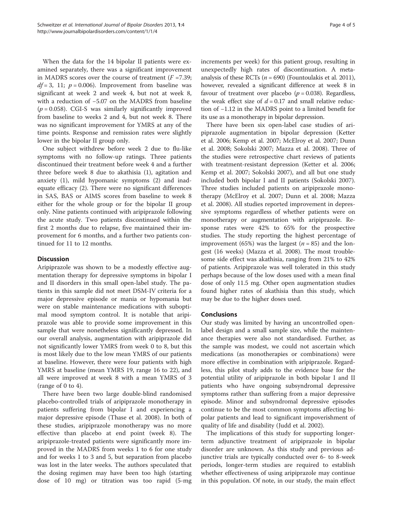When the data for the 14 bipolar II patients were examined separately, there was a significant improvement in MADRS scores over the course of treatment  $(F = 7.39)$ ;  $df = 3$ , 11;  $p = 0.006$ ). Improvement from baseline was significant at week 2 and week 4, but not at week 8, with a reduction of −5.07 on the MADRS from baseline  $(p = 0.058)$ . CGI-S was similarly significantly improved from baseline to weeks 2 and 4, but not week 8. There was no significant improvement for YMRS at any of the time points. Response and remission rates were slightly lower in the bipolar II group only.

One subject withdrew before week 2 due to flu-like symptoms with no follow-up ratings. Three patients discontinued their treatment before week 4 and a further three before week 8 due to akathisia (1), agitation and anxiety (1), mild hypomanic symptoms (2) and inadequate efficacy (2). There were no significant differences in SAS, BAS or AIMS scores from baseline to week 8 either for the whole group or for the bipolar II group only. Nine patients continued with aripiprazole following the acute study. Two patients discontinued within the first 2 months due to relapse, five maintained their improvement for 6 months, and a further two patients continued for 11 to 12 months.

# **Discussion**

Aripiprazole was shown to be a modestly effective augmentation therapy for depressive symptoms in bipolar I and II disorders in this small open-label study. The patients in this sample did not meet DSM-IV criteria for a major depressive episode or mania or hypomania but were on stable maintenance medications with suboptimal mood symptom control. It is notable that aripiprazole was able to provide some improvement in this sample that were nonetheless significantly depressed. In our overall analysis, augmentation with aripiprazole did not significantly lower YMRS from week 0 to 8, but this is most likely due to the low mean YMRS of our patients at baseline. However, there were four patients with high YMRS at baseline (mean YMRS 19, range 16 to 22), and all were improved at week 8 with a mean YMRS of 3 (range of 0 to 4).

There have been two large double-blind randomised placebo-controlled trials of aripiprazole monotherapy in patients suffering from bipolar I and experiencing a major depressive episode (Thase et al. [2008\)](#page-4-0). In both of these studies, aripiprazole monotherapy was no more effective than placebo at end point (week 8). The aripiprazole-treated patients were significantly more improved in the MADRS from weeks 1 to 6 for one study and for weeks 1 to 3 and 5, but separation from placebo was lost in the later weeks. The authors speculated that the dosing regimen may have been too high (starting dose of 10 mg) or titration was too rapid (5-mg increments per week) for this patient group, resulting in unexpectedly high rates of discontinuation. A metaanalysis of these RCTs ( $n = 690$ ) (Fountoulakis et al. [2011](#page-4-0)), however, revealed a significant difference at week 8 in favour of treatment over placebo ( $p = 0.038$ ). Regardless, the weak effect size of  $d = 0.17$  and small relative reduction of −1.12 in the MADRS point to a limited benefit for its use as a monotherapy in bipolar depression.

There have been six open-label case studies of aripiprazole augmentation in bipolar depression (Ketter et al. [2006;](#page-4-0) Kemp et al. [2007](#page-4-0); McElroy et al. [2007;](#page-4-0) Dunn et al. [2008;](#page-4-0) Sokolski [2007](#page-4-0); Mazza et al. [2008](#page-4-0)). Three of the studies were retrospective chart reviews of patients with treatment-resistant depression (Ketter et al. [2006](#page-4-0); Kemp et al. [2007](#page-4-0); Sokolski [2007\)](#page-4-0), and all but one study included both bipolar I and II patients (Sokolski [2007](#page-4-0)). Three studies included patients on aripiprazole monotherapy (McElroy et al. [2007;](#page-4-0) Dunn et al. [2008](#page-4-0); Mazza et al. [2008](#page-4-0)). All studies reported improvement in depressive symptoms regardless of whether patients were on monotherapy or augmentation with aripiprazole. Response rates were 42% to 65% for the prospective studies. The study reporting the highest percentage of improvement (65%) was the largest ( $n = 85$ ) and the longest (16 weeks) (Mazza et al. [2008\)](#page-4-0). The most troublesome side effect was akathisia, ranging from 21% to 42% of patients. Aripiprazole was well tolerated in this study perhaps because of the low doses used with a mean final dose of only 11.5 mg. Other open augmentation studies found higher rates of akathisia than this study, which may be due to the higher doses used.

# Conclusions

Our study was limited by having an uncontrolled openlabel design and a small sample size, while the maintenance therapies were also not standardised. Further, as the sample was modest, we could not ascertain which medications (as monotherapies or combinations) were more effective in combination with aripiprazole. Regardless, this pilot study adds to the evidence base for the potential utility of aripiprazole in both bipolar I and II patients who have ongoing subsyndromal depressive symptoms rather than suffering from a major depressive episode. Minor and subsyndromal depressive episodes continue to be the most common symptoms affecting bipolar patients and lead to significant impoverishment of quality of life and disability (Judd et al. [2002](#page-4-0)).

The implications of this study for supporting longerterm adjunctive treatment of aripiprazole in bipolar disorder are unknown. As this study and previous adjunctive trials are typically conducted over 6- to 8-week periods, longer-term studies are required to establish whether effectiveness of using aripiprazole may continue in this population. Of note, in our study, the main effect